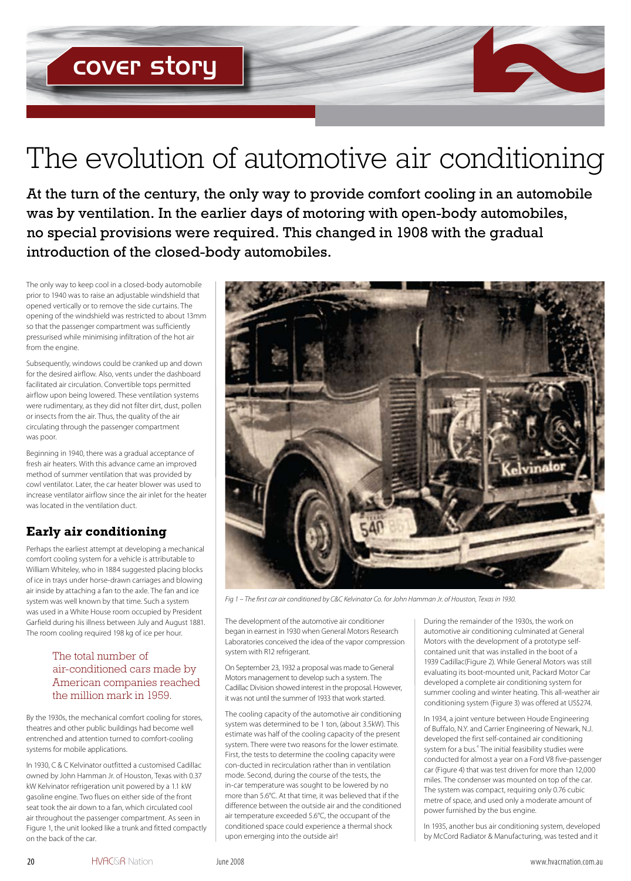# The evolution of automotive air conditioning

At the turn of the century, the only way to provide comfort cooling in an automobile was by ventilation. In the earlier days of motoring with open-body automobiles, no special provisions were required. This changed in 1908 with the gradual introduction of the closed-body automobiles.

The only way to keep cool in a closed-body automobile prior to 1940 was to raise an adjustable windshield that opened vertically or to remove the side curtains. The opening of the windshield was restricted to about 13mm so that the passenger compartment was sufficiently pressurised while minimising infiltration of the hot air from the engine.

Subsequently, windows could be cranked up and down for the desired airflow. Also, vents under the dashboard facilitated air circulation. Convertible tops permitted airflow upon being lowered. These ventilation systems were rudimentary, as they did not filter dirt, dust, pollen or insects from the air. Thus, the quality of the air circulating through the passenger compartment was poor.

Beginning in 1940, there was a gradual acceptance of fresh air heaters. With this advance came an improved method of summer ventilation that was provided by cowl ventilator. Later, the car heater blower was used to increase ventilator airflow since the air inlet for the heater was located in the ventilation duct.

# **Early air conditioning**

Perhaps the earliest attempt at developing a mechanical comfort cooling system for a vehicle is attributable to William Whiteley, who in 1884 suggested placing blocks of ice in trays under horse-drawn carriages and blowing air inside by attaching a fan to the axle. The fan and ice system was well known by that time. Such a system was used in a White House room occupied by President Garfield during his illness between July and August 1881. The room cooling required 198 kg of ice per hour.

#### The total number of air-conditioned cars made by American companies reached the million mark in 1959.

By the 1930s, the mechanical comfort cooling for stores, theatres and other public buildings had become well entrenched and attention turned to comfort-cooling systems for mobile applications.

In 1930, C & C Kelvinator outfitted a customised Cadillac owned by John Hamman Jr. of Houston, Texas with 0.37 kW Kelvinator refrigeration unit powered by a 1.1 kW gasoline engine. Two flues on either side of the front seat took the air down to a fan, which circulated cool air throughout the passenger compartment. As seen in Figure 1, the unit looked like a trunk and fitted compactly on the back of the car.



*Fig 1 – The first car air conditioned by C&C Kelvinator Co. for John Hamman Jr. of Houston, Texas in 1930.*

The development of the automotive air conditioner began in earnest in 1930 when General Motors Research Laboratories conceived the idea of the vapor compression system with R12 refrigerant.

On September 23, 1932 a proposal was made to General Motors management to develop such a system. The Cadillac Division showed interest in the proposal. However, it was not until the summer of 1933 that work started.

The cooling capacity of the automotive air conditioning system was determined to be 1 ton, (about 3.5kW). This estimate was half of the cooling capacity of the present system. There were two reasons for the lower estimate. First, the tests to determine the cooling capacity were con-ducted in recirculation rather than in ventilation mode. Second, during the course of the tests, the in-car temperature was sought to be lowered by no more than 5.6°C. At that time, it was believed that if the difference between the outside air and the conditioned air temperature exceeded 5.6°C, the occupant of the conditioned space could experience a thermal shock upon emerging into the outside air!

During the remainder of the 1930s, the work on automotive air conditioning culminated at General Motors with the development of a prototype selfcontained unit that was installed in the boot of a 1939 Cadillac(Figure 2). While General Motors was still evaluating its boot-mounted unit, Packard Motor Car developed a complete air conditioning system for summer cooling and winter heating. This all-weather air conditioning system (Figure 3) was offered at US\$274.

In 1934, a joint venture between Houde Engineering of Buffalo, N.Y. and Carrier Engineering of Newark, N.J. developed the first self-contained air conditioning system for a bus.<sup>4</sup> The initial feasibility studies were conducted for almost a year on a Ford V8 five-passenger car (Figure 4) that was test driven for more than 12,000 miles. The condenser was mounted on top of the car. The system was compact, requiring only 0.76 cubic metre of space, and used only a moderate amount of power furnished by the bus engine.

In 1935, another bus air conditioning system, developed by McCord Radiator & Manufacturing, was tested and it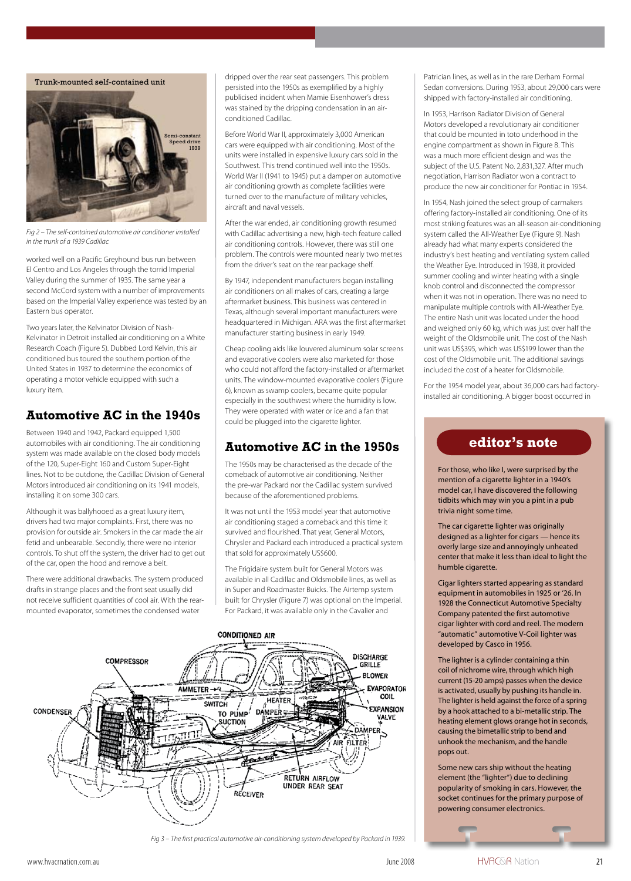Trunk-mounted self-contained unit Semi-constant Speed drive 1939

*Fig 2 – The self-contained automotive air conditioner installed in the trunk of a 1939 Cadillac*

worked well on a Pacific Greyhound bus run between El Centro and Los Angeles through the torrid Imperial Valley during the summer of 1935. The same year a second McCord system with a number of improvements based on the Imperial Valley experience was tested by an Eastern bus operator.

Two years later, the Kelvinator Division of Nash-Kelvinator in Detroit installed air conditioning on a White Research Coach (Figure 5). Dubbed Lord Kelvin, this air conditioned bus toured the southern portion of the United States in 1937 to determine the economics of operating a motor vehicle equipped with such a luxury item.

## **Automotive AC in the 1940s**

Between 1940 and 1942, Packard equipped 1,500 automobiles with air conditioning. The air conditioning system was made available on the closed body models of the 120, Super-Eight 160 and Custom Super-Eight lines. Not to be outdone, the Cadillac Division of General Motors introduced air conditioning on its 1941 models, installing it on some 300 cars.

Although it was ballyhooed as a great luxury item, drivers had two major complaints. First, there was no provision for outside air. Smokers in the car made the air fetid and unbearable. Secondly, there were no interior controls. To shut off the system, the driver had to get out of the car, open the hood and remove a belt.

There were additional drawbacks. The system produced drafts in strange places and the front seat usually did not receive sufficient quantities of cool air. With the rearmounted evaporator, sometimes the condensed water

dripped over the rear seat passengers. This problem persisted into the 1950s as exemplified by a highly publicised incident when Mamie Eisenhower's dress was stained by the dripping condensation in an airconditioned Cadillac.

Before World War II, approximately 3,000 American cars were equipped with air conditioning. Most of the units were installed in expensive luxury cars sold in the Southwest. This trend continued well into the 1950s. World War II (1941 to 1945) put a damper on automotive air conditioning growth as complete facilities were turned over to the manufacture of military vehicles, aircraft and naval vessels.

After the war ended, air conditioning growth resumed with Cadillac advertising a new, high-tech feature called air conditioning controls. However, there was still one problem. The controls were mounted nearly two metres from the driver's seat on the rear package shelf.

By 1947, independent manufacturers began installing air conditioners on all makes of cars, creating a large aftermarket business. This business was centered in Texas, although several important manufacturers were headquartered in Michigan. ARA was the first aftermarket manufacturer starting business in early 1949.

Cheap cooling aids like louvered aluminum solar screens and evaporative coolers were also marketed for those who could not afford the factory-installed or aftermarket units. The window-mounted evaporative coolers (Figure 6), known as swamp coolers, became quite popular especially in the southwest where the humidity is low. They were operated with water or ice and a fan that could be plugged into the cigarette lighter.

# **Automotive AC in the 1950s**

The 1950s may be characterised as the decade of the comeback of automotive air conditioning. Neither the pre-war Packard nor the Cadillac system survived because of the aforementioned problems.

It was not until the 1953 model year that automotive air conditioning staged a comeback and this time it survived and flourished. That year, General Motors, Chrysler and Packard each introduced a practical system that sold for approximately US\$600.

The Frigidaire system built for General Motors was available in all Cadillac and Oldsmobile lines, as well as in Super and Roadmaster Buicks. The Airtemp system built for Chrysler (Figure 7) was optional on the Imperial. For Packard, it was available only in the Cavalier and



*Fig 3 – The first practical automotive air-conditioning system developed by Packard in 1939.*

Patrician lines, as well as in the rare Derham Formal Sedan conversions. During 1953, about 29,000 cars were shipped with factory-installed air conditioning.

In 1953, Harrison Radiator Division of General Motors developed a revolutionary air conditioner that could be mounted in toto underhood in the engine compartment as shown in Figure 8. This was a much more efficient design and was the subject of the U.S. Patent No. 2,831,327. After much negotiation, Harrison Radiator won a contract to produce the new air conditioner for Pontiac in 1954.

In 1954, Nash joined the select group of carmakers offering factory-installed air conditioning. One of its most striking features was an all-season air-conditioning system called the All-Weather Eye (Figure 9). Nash already had what many experts considered the industry's best heating and ventilating system called the Weather Eye. Introduced in 1938, it provided summer cooling and winter heating with a single knob control and disconnected the compressor when it was not in operation. There was no need to manipulate multiple controls with All-Weather Eye. The entire Nash unit was located under the hood and weighed only 60 kg, which was just over half the weight of the Oldsmobile unit. The cost of the Nash unit was US\$395, which was US\$199 lower than the cost of the Oldsmobile unit. The additional savings included the cost of a heater for Oldsmobile.

For the 1954 model year, about 36,000 cars had factoryinstalled air conditioning. A bigger boost occurred in

## **editor's note**

For those, who like I, were surprised by the mention of a cigarette lighter in a 1940's model car, I have discovered the following tidbits which may win you a pint in a pub trivia night some time.

The car cigarette lighter was originally designed as a lighter for cigars — hence its overly large size and annoyingly unheated center that make it less than ideal to light the humble cigarette.

Cigar lighters started appearing as standard equipment in automobiles in 1925 or '26. In 1928 the Connecticut Automotive Specialty Company patented the first automotive cigar lighter with cord and reel. The modern "automatic" automotive V-Coil lighter was developed by Casco in 1956.

The lighter is a cylinder containing a thin coil of nichrome wire, through which high current (15-20 amps) passes when the device is activated, usually by pushing its handle in. The lighter is held against the force of a spring by a hook attached to a bi-metallic strip. The heating element glows orange hot in seconds, causing the bimetallic strip to bend and unhook the mechanism, and the handle pops out.

Some new cars ship without the heating element (the "lighter") due to declining popularity of smoking in cars. However, the socket continues for the primary purpose of powering consumer electronics.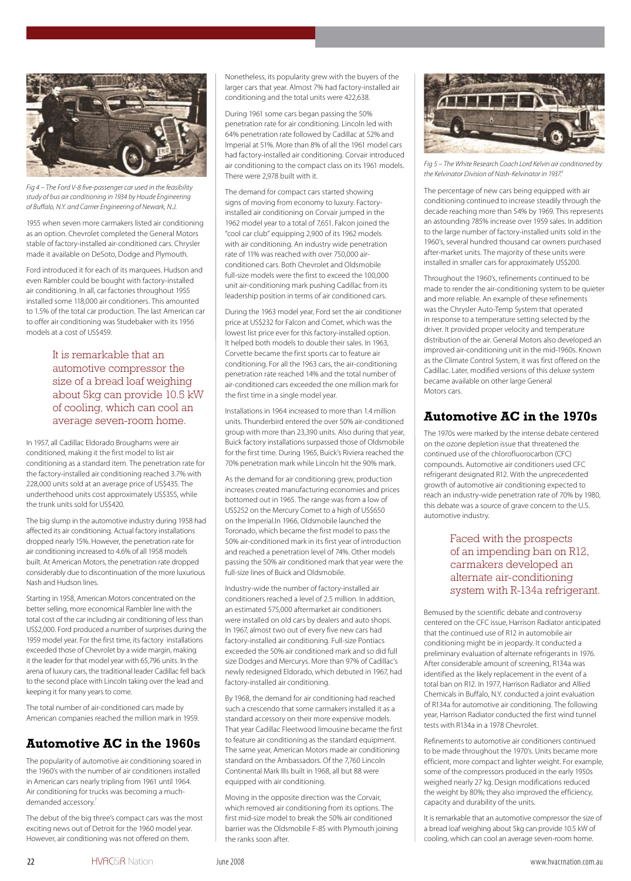

*Fig 4 – The Ford V-8 five-passenger car used in the feasibility study of bus air conditioning in 1934 by Houde Engineering of Buffalo, N.Y. and Carrier Engineering of Newark, N.J.* 

1955 when seven more carmakers listed air conditioning as an option. Chevrolet completed the General Motors stable of factory-installed air-conditioned cars. Chrysler made it available on DeSoto, Dodge and Plymouth.

Ford introduced it for each of its marquees. Hudson and even Rambler could be bought with factory-installed air conditioning. In all, car factories throughout 1955 installed some 118,000 air conditioners. This amounted to 1.5% of the total car production. The last American car to offer air conditioning was Studebaker with its 1956 models at a cost of US\$459.

> It is remarkable that an automotive compressor the size of a bread loaf weighing about 5kg can provide 10.5 kW of cooling, which can cool an average seven-room home.

In 1957, all Cadillac Eldorado Broughams were air conditioned, making it the first model to list air conditioning as a standard item. The penetration rate for the factory-installed air conditioning reached 3.7% with 228,000 units sold at an average price of US\$435. The underthehood units cost approximately US\$355, while the trunk units sold for US\$420.

The big slump in the automotive industry during 1958 had affected its air conditioning. Actual factory installations dropped nearly 15%. However, the penetration rate for air conditioning increased to 4.6% of all 1958 models built. At American Motors, the penetration rate dropped considerably due to discontinuation of the more luxurious Nash and Hudson lines.

Starting in 1958, American Motors concentrated on the better selling, more economical Rambler line with the total cost of the car including air conditioning of less than US\$2,000. Ford produced a number of surprises during the 1959 model year. For the first time, its factory installations exceeded those of Chevrolet by a wide margin, making it the leader for that model year with 65,796 units. In the arena of luxury cars, the traditional leader Cadillac fell back to the second place with Lincoln taking over the lead and keeping it for many years to come.

The total number of air-conditioned cars made by American companies reached the million mark in 1959.

# **Automotive AC in the 1960s**

The popularity of automotive air conditioning soared in the 1960's with the number of air conditioners installed in American cars nearly tripling from 1961 until 1964. Air conditioning for trucks was becoming a muchdemanded accessory.<sup>7</sup>

The debut of the big three's compact cars was the most exciting news out of Detroit for the 1960 model year. However, air conditioning was not offered on them.

Nonetheless, its popularity grew with the buyers of the larger cars that year. Almost 7% had factory-installed air conditioning and the total units were 422,638.

During 1961 some cars began passing the 50% penetration rate for air conditioning. Lincoln led with 64% penetration rate followed by Cadillac at 52% and Imperial at 51%. More than 8% of all the 1961 model cars had factory-installed air conditioning. Corvair introduced air conditioning to the compact class on its 1961 models. There were 2,978 built with it.

The demand for compact cars started showing signs of moving from economy to luxury. Factoryinstalled air conditioning on Corvair jumped in the 1962 model year to a total of 7,651. Falcon joined the "cool car club" equipping 2,900 of its 1962 models with air conditioning. An industry wide penetration rate of 11% was reached with over 750,000 airconditioned cars. Both Chevrolet and Oldsmobile full-size models were the first to exceed the 100,000 unit air-conditioning mark pushing Cadillac from its leadership position in terms of air conditioned cars.

During the 1963 model year, Ford set the air conditioner price at US\$232 for Falcon and Comet, which was the lowest list price ever for this factory-installed option. It helped both models to double their sales. In 1963, Corvette became the first sports car to feature air conditioning. For all the 1963 cars, the air-conditioning penetration rate reached 14% and the total number of air-conditioned cars exceeded the one million mark for the first time in a single model year.

Installations in 1964 increased to more than 1.4 million units. Thunderbird entered the over 50% air-conditioned group with more than 23,390 units. Also during that year, Buick factory installations surpassed those of Oldsmobile for the first time. During 1965, Buick's Riviera reached the 70% penetration mark while Lincoln hit the 90% mark.

As the demand for air conditioning grew, production increases created manufacturing economies and prices bottomed out in 1965. The range was from a low of US\$252 on the Mercury Comet to a high of US\$650 on the Imperial.In 1966, Oldsmobile launched the Toronado, which became the first model to pass the 50% air-conditioned mark in its first year of introduction and reached a penetration level of 74%. Other models passing the 50% air conditioned mark that year were the full-size lines of Buick and Oldsmobile.

Industry-wide the number of factory-installed air conditioners reached a level of 2.5 million. In addition, an estimated 575,000 aftermarket air conditioners were installed on old cars by dealers and auto shops. In 1967, almost two out of every five new cars had factory-installed air conditioning. Full-size Pontiacs exceeded the 50% air conditioned mark and so did full size Dodges and Mercurys. More than 97% of Cadillac's newly redesigned Eldorado, which debuted in 1967, had factory-installed air conditioning.

By 1968, the demand for air conditioning had reached such a crescendo that some carmakers installed it as a standard accessory on their more expensive models. That year Cadillac Fleetwood limousine became the first to feature air conditioning as the standard equipment. The same year, American Motors made air conditioning standard on the Ambassadors. Of the 7,760 Lincoln Continental Mark IIIs built in 1968, all but 88 were equipped with air conditioning.

Moving in the opposite direction was the Corvair, which removed air conditioning from its options. The first mid-size model to break the 50% air conditioned barrier was the Oldsmobile F-85 with Plymouth joining the ranks soon after.



*Fig 5 – The White Research Coach Lord Kelvin air conditioned by the Kelvinator Division of Nash-Kelvinator in 1937.<sup>6</sup>*

The percentage of new cars being equipped with air conditioning continued to increase steadily through the decade reaching more than 54% by 1969. This represents an astounding 785% increase over 1959 sales. In addition to the large number of factory-installed units sold in the 1960's, several hundred thousand car owners purchased after-market units. The majority of these units were installed in smaller cars for approximately US\$200.

Throughout the 1960's, refinements continued to be made to render the air-conditioning system to be quieter and more reliable. An example of these refinements was the Chrysler Auto-Temp System that operated in response to a temperature setting selected by the driver. It provided proper velocity and temperature distribution of the air. General Motors also developed an improved air-conditioning unit in the mid-1960s. Known as the Climate Control System, it was first offered on the Cadillac. Later, modified versions of this deluxe system became available on other large General Motors cars.

## **Automotive AC in the 1970s**

The 1970s were marked by the intense debate centered on the ozone depletion issue that threatened the continued use of the chlorofluorocarbon (CFC) compounds. Automotive air conditioners used CFC refrigerant designated R12. With the unprecedented growth of automotive air conditioning expected to reach an industry-wide penetration rate of 70% by 1980, this debate was a source of grave concern to the U.S. automotive industry.

#### Faced with the prospects of an impending ban on R12, carmakers developed an alternate air-conditioning system with R-134a refrigerant.

Bemused by the scientific debate and controversy centered on the CFC issue, Harrison Radiator anticipated that the continued use of R12 in automobile air conditioning might be in jeopardy. It conducted a preliminary evaluation of alternate refrigerants in 1976. After considerable amount of screening, R134a was identified as the likely replacement in the event of a total ban on R12. In 1977, Harrison Radiator and Allied Chemicals in Buffalo, N.Y. conducted a joint evaluation of R134a for automotive air conditioning. The following year, Harrison Radiator conducted the first wind tunnel tests with R134a in a 1978 Chevrolet.

Refinements to automotive air conditioners continued to be made throughout the 1970's. Units became more efficient, more compact and lighter weight. For example, some of the compressors produced in the early 1950s weighed nearly 27 kg. Design modifications reduced the weight by 80%; they also improved the efficiency, capacity and durability of the units.

It is remarkable that an automotive compressor the size of a bread loaf weighing about 5kg can provide 10.5 kW of cooling, which can cool an average seven-room home.